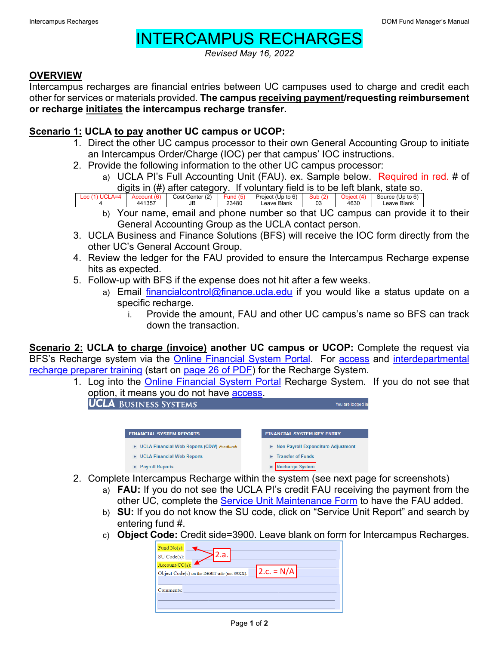## INTERCAMPUS RECHARGES

*Revised May 16, 2022*

## **OVERVIEW**

Intercampus recharges are financial entries between UC campuses used to charge and credit each other for services or materials provided. **The campus receiving payment/requesting reimbursement or recharge initiates the intercampus recharge transfer.**

## **Scenario 1: UCLA to pay another UC campus or UCOP:**

- 1. Direct the other UC campus processor to their own General Accounting Group to initiate an Intercampus Order/Charge (IOC) per that campus' IOC instructions.
- 2. Provide the following information to the other UC campus processor:
	- a) UCLA PI's Full Accounting Unit (FAU). ex. Sample below. Required in red. # of digits in (#) after category. If voluntary field is to be left blank, state so.

Loc (1) UCLA=4 4 Account (6) 441357 Cost Center (2) JB Fund (5) 23480 Project (Up to 6) Leave Blank Sub (2) 03 Object (4) 4630 Source (Up to 6) Leave Blank

- b) Your name, email and phone number so that UC campus can provide it to their General Accounting Group as the UCLA contact person.
- 3. UCLA Business and Finance Solutions (BFS) will receive the IOC form directly from the other UC's General Account Group.
- 4. Review the ledger for the FAU provided to ensure the Intercampus Recharge expense hits as expected.
- 5. Follow-up with BFS if the expense does not hit after a few weeks.
	- a) Email [financialcontrol@finance.ucla.edu](mailto:financialcontrol@finance.ucla.edu) if you would like a status update on a specific recharge.
		- i. Provide the amount, FAU and other UC campus's name so BFS can track down the transaction.

**Scenario 2: UCLA to charge (invoice) another UC campus or UCOP:** Complete the request via BFS's Recharge system via the [Online Financial System Portal.](https://fsw.ais.ucla.edu/menu/) For [access](https://medschool.ucla.edu/workfiles/Site-ORA/postawardforms/On-Line-Recharge-Access-Application.pdf) and interdepartmental [recharge preparer training](https://www.finance.ucla.edu/sales-and-services-and-recharge-training) (start on [page 26 of PDF\)](https://ucla.app.box.com/s/z9y3wf1bbahxz7s48t5bg5djbiw7fav8) for the Recharge System.

1. Log into the [Online Financial System Portal](https://fsw.ais.ucla.edu/menu/) Recharge System. If you do not see that option, it means you do not have <u>access</u>.<br>**UCLA** BUSINESS SYSTEMS

| рознаезэ этэтемэ                                       |                                      |
|--------------------------------------------------------|--------------------------------------|
|                                                        |                                      |
|                                                        |                                      |
| <b>FINANCIAL SYSTEM REPORTS</b>                        | <b>FINANCIAL SYSTEM KEY ENTRY</b>    |
| <b>UCLA Financial Web Reports (CDW) Feedback</b><br>Þ. | ▶ Non-Payroll Expenditure Adjustment |
| <b>UCLA Financial Web Reports</b><br>٠                 | <b>Transfer of Funds</b><br>ь        |
| <b>Payroll Reports</b><br>$\blacktriangleright$        | <b>Recharge System</b>               |
|                                                        |                                      |

- 2. Complete Intercampus Recharge within the system (see next page for screenshots)
	- a) **FAU:** If you do not see the UCLA PI's credit FAU receiving the payment from the other UC, complete the **Service Unit Maintenance Form** to have the FAU added.
	- b) **SU:** If you do not know the SU code, click on "Service Unit Report" and search by entering fund #.
	- c) **Object Code:** Credit side=3900. Leave blank on form for Intercampus Recharges.

| Fund $No(s)$ :                                               |  |  |  |  |  |  |  |
|--------------------------------------------------------------|--|--|--|--|--|--|--|
| z.a.<br>SU Code(s):                                          |  |  |  |  |  |  |  |
| $Account/CC(s)$ :                                            |  |  |  |  |  |  |  |
| $2.c. = N/A$<br>Object Code(s) on the DEBIT side (not 39XX): |  |  |  |  |  |  |  |
|                                                              |  |  |  |  |  |  |  |
| Comments:                                                    |  |  |  |  |  |  |  |
|                                                              |  |  |  |  |  |  |  |
|                                                              |  |  |  |  |  |  |  |